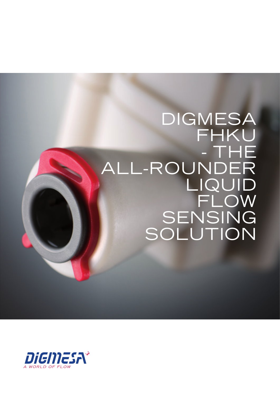## DIGMESA FHKU - THE ALL-ROUNDER LIQUID FLOW SENSING SOLUTION

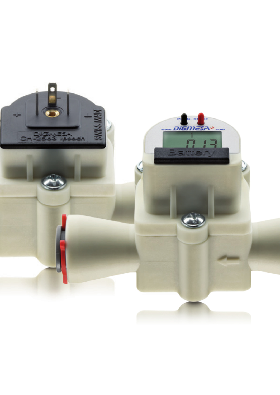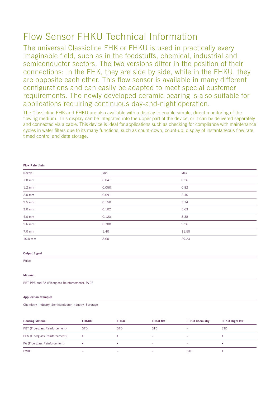### Flow Sensor FHKU Technical Information

The universal Classicline FHK or FHKU is used in practically every imaginable field, such as in the foodstuffs, chemical, industrial and semiconductor sectors. The two versions differ in the position of their connections: In the FHK, they are side by side, while in the FHKU, they are opposite each other. This flow sensor is available in many different configurations and can easily be adapted to meet special customer requirements. The newly developed ceramic bearing is also suitable for applications requiring continuous day-and-night operation.

The Classicline FHK and FHKU are also available with a display to enable simple, direct monitoring of the flowing medium. This display can be integrated into the upper part of the device, or it can be delivered separately and connected via a cable. This device is ideal for applications such as checking for compliance with maintenance cycles in water filters due to its many functions, such as count-down, count-up, display of instantaneous flow rate, timed control and data storage.

#### Flow Rate l/min

| Nozzle                     | Min   | Max   |  |
|----------------------------|-------|-------|--|
| $1.0 \text{ mm}$<br>$\sim$ | 0.041 | 0.56  |  |
| $1.2 \text{ mm}$           | 0.050 | 0.82  |  |
| $2.0$ mm                   | 0.091 | 2.40  |  |
| $2.5$ mm                   | 0.150 | 3.74  |  |
| 3.0 mm                     | 0.102 | 5.63  |  |
| 4.0 mm                     | 0.123 | 8.38  |  |
| 5.6 mm                     | 0.308 | 9.26  |  |
| 7.0 mm                     | 1.40  | 11.50 |  |
| 10.0 mm                    | 3.00  | 29.23 |  |

#### Output Signal

Pulse

#### Material

PBT PPS and PA (Fiberglass Reinforcement), PVDF

#### Application examples

Chemistry, Industry, Semiconductor Industry, Beverage

| <b>Housing Material</b>        | <b>FHKUC</b> | <b>FHKU</b> | <b>FHKU flat</b>         | <b>FHKU Chemistry</b>    | <b>FHKU HighFlow</b> |
|--------------------------------|--------------|-------------|--------------------------|--------------------------|----------------------|
| PBT (Fiberglass Reinforcement) | <b>STD</b>   | <b>STD</b>  | <b>STD</b>               | $\qquad \qquad$          | <b>STD</b>           |
| PPS (Fiberglass Reinforcement) |              |             | $\overline{\phantom{0}}$ | $\overline{\phantom{a}}$ |                      |
| PA (Fiberglass Reinforcement)  |              |             | -                        | $\overline{\phantom{a}}$ |                      |
| <b>PVDF</b>                    | -            | -           | -                        | STD                      |                      |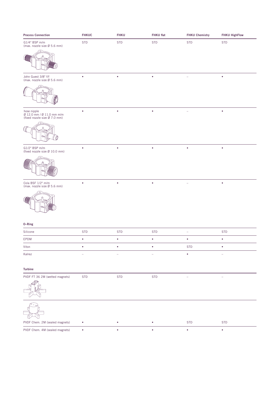| <b>Process Connection</b>                                                | <b>FHKUC</b> | <b>FHKU</b> | FHKU flat  | <b>FHKU Chemistry</b>    | <b>FHKU HighFlow</b> |  |
|--------------------------------------------------------------------------|--------------|-------------|------------|--------------------------|----------------------|--|
| G1/4" BSP m/m<br>(max. nozzle size Ø 5.6 mm)                             | <b>STD</b>   | <b>STD</b>  | <b>STD</b> | <b>STD</b>               | <b>STD</b>           |  |
|                                                                          |              |             |            |                          |                      |  |
| John Guest 3/8" f/f<br>(max. nozzle size Ø 5.6 mm)                       | $\bullet$    | $\bullet$   | $\bullet$  |                          | $\bullet$            |  |
|                                                                          |              |             |            |                          |                      |  |
| hose nipple<br>Ø 12.0 mm / Ø 11.0 mm m/m<br>(fixed nozzle size Ø 7.0 mm) | $\bullet$    | $\bullet$   | $\bullet$  | $\equiv$                 | $\bullet$            |  |
|                                                                          |              |             |            |                          |                      |  |
| G1/2" BSP m/m<br>(fixed nozzle size Ø 10.0 mm)                           | $\bullet$    | $\bullet$   | $\bullet$  | $\bullet$                | $\bullet$            |  |
|                                                                          |              |             |            |                          |                      |  |
| Cola BSF 1/2" m/m<br>(max. nozzle size Ø 5.6 mm)                         | ٠            |             | $\bullet$  |                          |                      |  |
| W                                                                        |              |             |            |                          |                      |  |
| 0-Ring                                                                   |              |             |            |                          |                      |  |
| Silicone                                                                 | <b>STD</b>   | <b>STD</b>  | <b>STD</b> | $\overline{\phantom{a}}$ | <b>STD</b>           |  |
| EPDM                                                                     | $\bullet$    | $\bullet$   | ٠          | ٠                        | $\bullet$            |  |
| Viton                                                                    | ٠            | ٠           | ٠          | <b>STD</b>               | $\bullet$            |  |
| Kalrez                                                                   |              |             |            | $\bullet$                |                      |  |
| <b>Turbine</b>                                                           |              |             |            |                          |                      |  |
| PVDF FT 36 2M (wetted magnets)                                           | <b>STD</b>   | <b>STD</b>  | <b>STD</b> |                          |                      |  |
|                                                                          |              |             |            |                          |                      |  |
|                                                                          |              |             |            |                          |                      |  |
| PVDF Chem. 2M (sealed magnets)                                           | $\bullet$    | ٠           | ٠          | <b>STD</b>               | <b>STD</b>           |  |
| PVDF Chem. 4M (sealed magnets)                                           | $\bullet$    | $\bullet$   | $\bullet$  | $\bullet$                | $\bullet$            |  |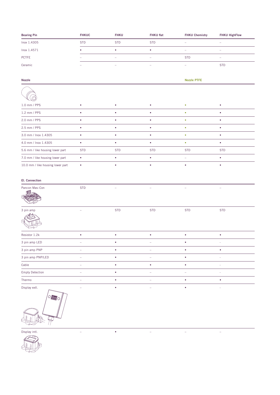| <b>Bearing Pin</b> | <b>FHKUC</b>             | <b>FHKU</b>              | <b>FHKU flat</b>         | <b>FHKU Chemistry</b>    | <b>FHKU HighFlow</b>         |
|--------------------|--------------------------|--------------------------|--------------------------|--------------------------|------------------------------|
| Inox 1.4305        | <b>STD</b>               | <b>STD</b>               | <b>STD</b>               | $\overline{\phantom{m}}$ | $\qquad \qquad -$            |
| Inox 1.4571        | ٠                        | ٠                        | ٠                        | $\overline{\phantom{a}}$ | $\overline{\phantom{a}}$     |
| <b>PCTFE</b>       | $\qquad \qquad$          | $\overline{\phantom{0}}$ | $\overline{\phantom{m}}$ | <b>STD</b>               | $\qquad \qquad \blacksquare$ |
| Ceramic            | $\overline{\phantom{a}}$ | $\overline{\phantom{a}}$ | $\overline{\phantom{a}}$ | $\overline{\phantom{a}}$ | <b>STD</b>                   |

#### Nozzle Nozzle PTFE

| 1.0 mm / PPS                      |            |            |            |            |            |
|-----------------------------------|------------|------------|------------|------------|------------|
| 1.2 mm / PPS                      | ٠          |            | ٠          | ٠          |            |
| 2.0 mm / PPS                      | ٠          |            | ٠          | ٠          |            |
| 2.5 mm / PPS                      | ٠          |            | ٠          | ٠          |            |
| 3.0 mm / Inox 1.4305              | ٠          |            |            |            |            |
| 4.0 mm / Inox 1.4305              |            |            |            |            |            |
| 5.6 mm / like housing lower part  | <b>STD</b> | <b>STD</b> | <b>STD</b> | <b>STD</b> | <b>STD</b> |
| 7.0 mm / like housing lower part  |            |            |            |            |            |
| 10.0 mm / like housing lower part | ٠          |            |            |            |            |

#### El. Connection

| Pancon Mas-Con         | <b>STD</b>               | -          | -                        |            |                          |
|------------------------|--------------------------|------------|--------------------------|------------|--------------------------|
| 3 pin amp<br>G         |                          | <b>STD</b> | <b>STD</b>               | <b>STD</b> | <b>STD</b>               |
| Resistor 1.2k          | $\bullet$                | $\bullet$  | $\bullet$                | $\bullet$  | $\bullet$                |
| 3 pin amp LED          |                          | ٠          | -                        | ٠          | $\overline{\phantom{a}}$ |
| 3 pin amp PNP          | $\qquad \qquad -$        | $\bullet$  | $\overline{\phantom{m}}$ | $\bullet$  | $\bullet$                |
| 3 pin amp PNP/LED      | $\overline{\phantom{m}}$ | ٠          | -                        | $\bullet$  | $\blacksquare$           |
| Cable                  |                          | $\bullet$  | $\bullet$                | $\bullet$  | $\overline{\phantom{a}}$ |
| <b>Empty Detection</b> |                          | ٠          | $\overline{\phantom{m}}$ |            | $\overline{\phantom{a}}$ |
| Thermo                 |                          | ٠          |                          | ٠          |                          |
| Display extl.<br>∼     |                          | ٠          | $\overline{\phantom{m}}$ | ٠          | $\sim$                   |

# RAFT

Display intl. – • – – –